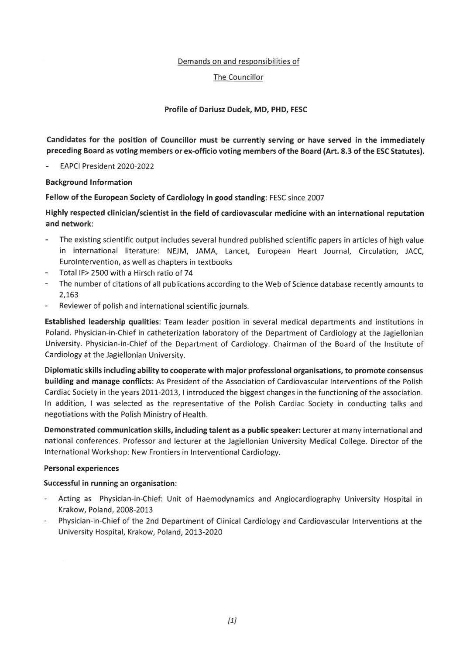# Demands on and responsibilities of

# The Councillor

# Profile of Dariusz Dudek, MD, PHD, FESC

Candidates for the position of Councillor must be currently serving or have served in the immediately preceding Board as voting members or ex-officio voting members of the Board (Art. 8.3 of the ESC Statutes).

EAPCI President 2020-2022

## **Background Information**

Fellow of the European Society of Cardiology in good standing: FESC since 2007

Highly respected clinician/scientist in the field of cardiovascular medicine with an international reputation and network:

- The existing scientific output includes several hundred published scientific papers in articles of high value in international literature: NEJM, JAMA, Lancet, European Heart Journal, Circulation, JACC, EuroIntervention, as well as chapters in textbooks
- Total IF> 2500 with a Hirsch ratio of 74  $\ddot{\phantom{a}}$
- The number of citations of all publications according to the Web of Science database recently amounts to 2,163
- Reviewer of polish and international scientific journals.

Established leadership qualities: Team leader position in several medical departments and institutions in Poland. Physician-in-Chief in catheterization laboratory of the Department of Cardiology at the Jagiellonian University. Physician-in-Chief of the Department of Cardiology. Chairman of the Board of the Institute of Cardiology at the Jagiellonian University.

Diplomatic skills including ability to cooperate with major professional organisations, to promote consensus building and manage conflicts: As President of the Association of Cardiovascular Interventions of the Polish Cardiac Society in the years 2011-2013, I introduced the biggest changes in the functioning of the association. In addition, I was selected as the representative of the Polish Cardiac Society in conducting talks and negotiations with the Polish Ministry of Health.

Demonstrated communication skills, including talent as a public speaker: Lecturer at many international and national conferences. Professor and lecturer at the Jagiellonian University Medical College. Director of the International Workshop: New Frontiers in Interventional Cardiology.

## **Personal experiences**

## Successful in running an organisation:

- Acting as Physician-in-Chief: Unit of Haemodynamics and Angiocardiography University Hospital in Krakow, Poland, 2008-2013
- Physician-in-Chief of the 2nd Department of Clinical Cardiology and Cardiovascular Interventions at the University Hospital, Krakow, Poland, 2013-2020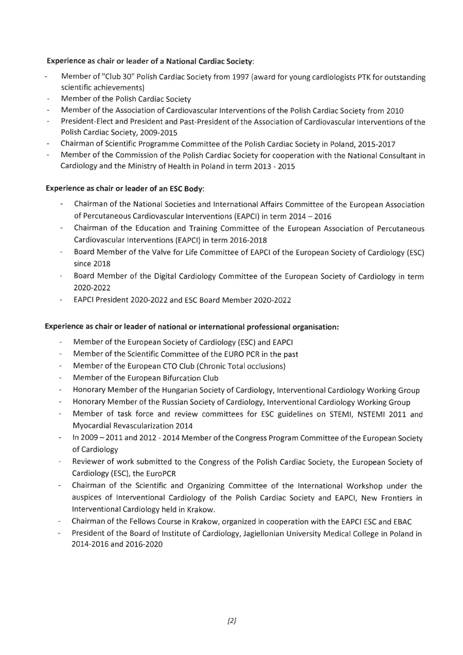# **Experience as chair or leader of a National Cardiac Society:**

- Member of "Club 30" Polish Cardiac Society from 1997 (award for young cardiologists PTK for outstanding ÷. scientific achievements)
- Member of the Polish Cardiac Society
- Member of the Association of Cardiovascular Interventions of the Polish Cardiac Society from 2010
- President-Elect and President and Past-President of the Association of Cardiovascular Interventions of the Polish Cardiac Society, 2009-2015
- Chairman of Scientific Programme Committee of the Polish Cardiac Society in Poland, 2015-2017
- Member of the Commission of the Polish Cardiac Society for cooperation with the National Consultant in Cardiology and the Ministry of Health in Poland in term 2013 - 2015

# **Experience as chair or leader of an ESC Body:**

- Chairman of the National Societies and International Affairs Committee of the European Association of Percutaneous Cardiovascular Interventions (EAPCI) in term 2014 - 2016
- Chairman of the Education and Training Committee of the European Association of Percutaneous Cardiovascular Interventions (EAPCI) in term 2016-2018
- Board Member of the Valve for Life Committee of EAPCI of the European Society of Cardiology (ESC) since 2018
- Board Member of the Digital Cardiology Committee of the European Society of Cardiology in term 2020-2022
- EAPCI President 2020-2022 and ESC Board Member 2020-2022

# Experience as chair or leader of national or international professional organisation:

- Member of the European Society of Cardiology (ESC) and EAPCI
- Member of the Scientific Committee of the EURO PCR in the past
- Member of the European CTO Club (Chronic Total occlusions)
- Member of the European Bifurcation Club
- Honorary Member of the Hungarian Society of Cardiology, Interventional Cardiology Working Group
- Honorary Member of the Russian Society of Cardiology, Interventional Cardiology Working Group
- Member of task force and review committees for ESC guidelines on STEMI, NSTEMI 2011 and Myocardial Revascularization 2014
- In 2009 2011 and 2012 2014 Member of the Congress Program Committee of the European Society of Cardiology
- Reviewer of work submitted to the Congress of the Polish Cardiac Society, the European Society of Cardiology (ESC), the EuroPCR
- Chairman of the Scientific and Organizing Committee of the International Workshop under the auspices of Interventional Cardiology of the Polish Cardiac Society and EAPCI, New Frontiers in Interventional Cardiology held in Krakow.
- Chairman of the Fellows Course in Krakow, organized in cooperation with the EAPCI ESC and EBAC
- President of the Board of Institute of Cardiology, Jagiellonian University Medical College in Poland in 2014-2016 and 2016-2020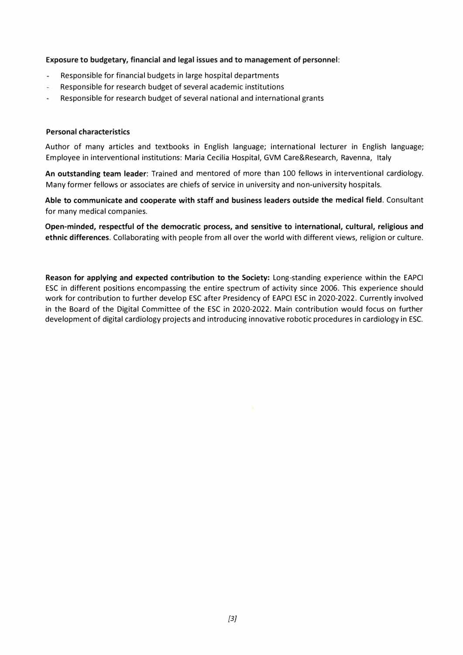### **Exposure to budgetary, financial and legal issues and to management of personnel:**

- Responsible for financial budgets in large hospital departments L,
- Responsible for research budget of several academic institutions
- ä, Responsible for research budget of several national and international grants

### **Personal characteristics**

Author of many articles and textbooks in English language; international lecturer in English language; Employee in interventional institutions: Maria Cecilia Hospital, GVM Care&Research, Ravenna, Italy

**An outstanding team leader:** Trained and mentored of more than 100 fellows in interventional cardiology. Many former fellows or associates are chiefs of service in university and non-university hospitals.

**Able to communicate and cooperate with staff and business leaders outside the medical field.** Consultant for many medical companies.

**Open-minded, respectful of the democratic process, and sensitive to international, cultural, religious and ethnic differences.** Collaborating with people from all over the world with different views, religion or culture.

**Reason for applying and expected contribution to the Society:** Long-standing experience within the EAPCI ESC in different positions encompassing the entire spectrum of activity since 2006. This experience should work for contribution to further develop ESC after Presidency of EAPCI ESC in 2020-2022. Currently involved in the Board of the Digital Committee of the ESC in 2020-2022. Main contribution would focus on further development of digital cardiology projects and introducing innovative robotic procedures in cardiology in ESC.